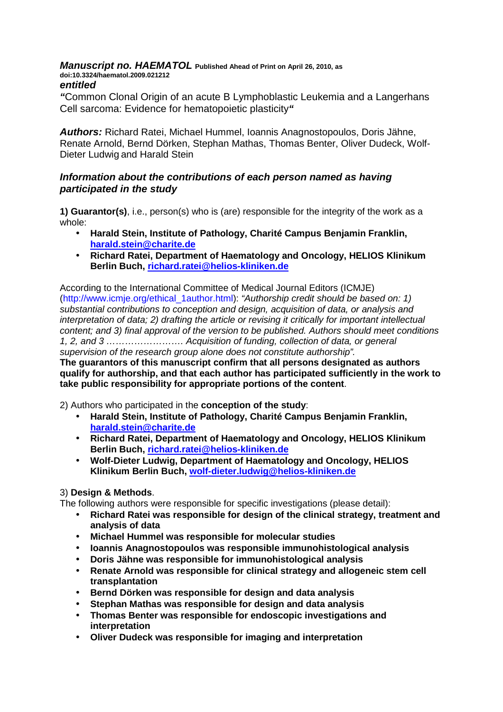# **Manuscript no. HAEMATOL Published Ahead of Print on April 26, 2010, as doi:10.3324/haematol.2009.021212**

#### **entitled**

**"**Common Clonal Origin of an acute B Lymphoblastic Leukemia and a Langerhans Cell sarcoma: Evidence for hematopoietic plasticity**"** 

**Authors:** Richard Ratei, Michael Hummel, Ioannis Anagnostopoulos, Doris Jähne, Renate Arnold, Bernd Dörken, Stephan Mathas, Thomas Benter, Oliver Dudeck, Wolf-Dieter Ludwig and Harald Stein

# **Information about the contributions of each person named as having participated in the study**

**1) Guarantor(s)**, i.e., person(s) who is (are) responsible for the integrity of the work as a whole:

- **Harald Stein, Institute of Pathology, Charité Campus Benjamin Franklin, harald.stein@charite.de**
- **Richard Ratei, Department of Haematology and Oncology, HELIOS Klinikum Berlin Buch, richard.ratei@helios-kliniken.de**

According to the International Committee of Medical Journal Editors (ICMJE) (http://www.icmje.org/ethical\_1author.html): "Authorship credit should be based on: 1) substantial contributions to conception and design, acquisition of data, or analysis and interpretation of data; 2) drafting the article or revising it critically for important intellectual content; and 3) final approval of the version to be published. Authors should meet conditions 1, 2, and 3 ……………………. Acquisition of funding, collection of data, or general supervision of the research group alone does not constitute authorship".

**The guarantors of this manuscript confirm that all persons designated as authors qualify for authorship, and that each author has participated sufficiently in the work to take public responsibility for appropriate portions of the content**.

2) Authors who participated in the **conception of the study**:

- **Harald Stein, Institute of Pathology, Charité Campus Benjamin Franklin, harald.stein@charite.de**
- **Richard Ratei, Department of Haematology and Oncology, HELIOS Klinikum Berlin Buch, richard.ratei@helios-kliniken.de**
- **Wolf-Dieter Ludwig, Department of Haematology and Oncology, HELIOS Klinikum Berlin Buch, wolf-dieter.ludwig@helios-kliniken.de**

# 3) **Design & Methods**.

The following authors were responsible for specific investigations (please detail):

- **Richard Ratei was responsible for design of the clinical strategy, treatment and analysis of data**
- **Michael Hummel was responsible for molecular studies**
- **Ioannis Anagnostopoulos was responsible immunohistological analysis**
- **Doris Jähne was responsible for immunohistological analysis**
- **Renate Arnold was responsible for clinical strategy and allogeneic stem cell transplantation**
- **Bernd Dörken was responsible for design and data analysis**
- **Stephan Mathas was responsible for design and data analysis**
- **Thomas Benter was responsible for endoscopic investigations and interpretation**
- **Oliver Dudeck was responsible for imaging and interpretation**